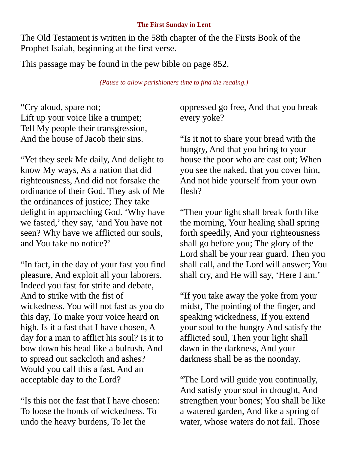## **The First Sunday in Lent**

The Old Testament is written in the 58th chapter of the the Firsts Book of the Prophet Isaiah, beginning at the first verse.

This passage may be found in the pew bible on page 852.

*(Pause to allow parishioners time to find the reading.)*

"Cry aloud, spare not; Lift up your voice like a trumpet; Tell My people their transgression, And the house of Jacob their sins.

"Yet they seek Me daily, And delight to know My ways, As a nation that did righteousness, And did not forsake the ordinance of their God. They ask of Me the ordinances of justice; They take delight in approaching God. 'Why have we fasted,' they say, 'and You have not seen? Why have we afflicted our souls, and You take no notice?'

"In fact, in the day of your fast you find pleasure, And exploit all your laborers. Indeed you fast for strife and debate, And to strike with the fist of wickedness. You will not fast as you do this day, To make your voice heard on high. Is it a fast that I have chosen, A day for a man to afflict his soul? Is it to bow down his head like a bulrush, And to spread out sackcloth and ashes? Would you call this a fast, And an acceptable day to the Lord?

"Is this not the fast that I have chosen: To loose the bonds of wickedness, To undo the heavy burdens, To let the

oppressed go free, And that you break every yoke?

"Is it not to share your bread with the hungry, And that you bring to your house the poor who are cast out; When you see the naked, that you cover him, And not hide yourself from your own flesh?

"Then your light shall break forth like the morning, Your healing shall spring forth speedily, And your righteousness shall go before you; The glory of the Lord shall be your rear guard. Then you shall call, and the Lord will answer; You shall cry, and He will say, 'Here I am.'

"If you take away the yoke from your midst, The pointing of the finger, and speaking wickedness, If you extend your soul to the hungry And satisfy the afflicted soul, Then your light shall dawn in the darkness, And your darkness shall be as the noonday.

"The Lord will guide you continually, And satisfy your soul in drought, And strengthen your bones; You shall be like a watered garden, And like a spring of water, whose waters do not fail. Those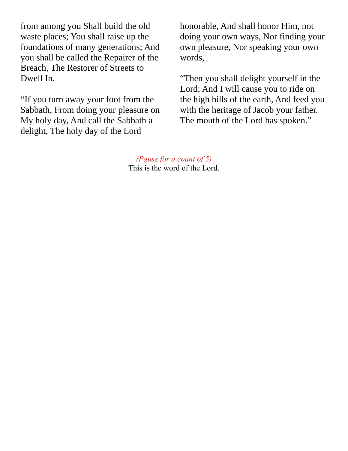from among you Shall build the old waste places; You shall raise up the foundations of many generations; And you shall be called the Repairer of the Breach, The Restorer of Streets to Dwell In.

"If you turn away your foot from the Sabbath, From doing your pleasure on My holy day, And call the Sabbath a delight, The holy day of the Lord

honorable, And shall honor Him, not doing your own ways, Nor finding your own pleasure, Nor speaking your own words,

"Then you shall delight yourself in the Lord; And I will cause you to ride on the high hills of the earth, And feed you with the heritage of Jacob your father. The mouth of the Lord has spoken."

*(Pause for a count of 5)* This is the word of the Lord.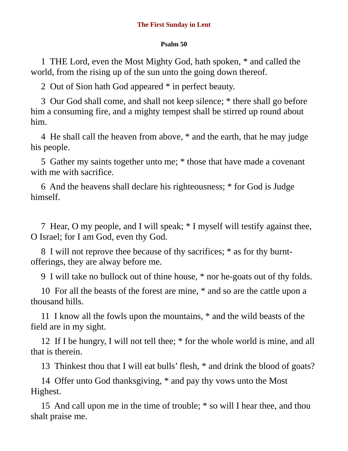## **Psalm 50**

1 THE Lord, even the Most Mighty God, hath spoken, \* and called the world, from the rising up of the sun unto the going down thereof.

2 Out of Sion hath God appeared \* in perfect beauty.

3 Our God shall come, and shall not keep silence; \* there shall go before him a consuming fire, and a mighty tempest shall be stirred up round about him.

4 He shall call the heaven from above, \* and the earth, that he may judge his people.

5 Gather my saints together unto me; \* those that have made a covenant with me with sacrifice.

6 And the heavens shall declare his righteousness; \* for God is Judge himself.

7 Hear, O my people, and I will speak; \* I myself will testify against thee, O Israel; for I am God, even thy God.

8 I will not reprove thee because of thy sacrifices; \* as for thy burntofferings, they are alway before me.

9 I will take no bullock out of thine house, \* nor he-goats out of thy folds.

10 For all the beasts of the forest are mine, \* and so are the cattle upon a thousand hills.

11 I know all the fowls upon the mountains, \* and the wild beasts of the field are in my sight.

12 If I be hungry, I will not tell thee; \* for the whole world is mine, and all that is therein.

13 Thinkest thou that I will eat bulls' flesh, \* and drink the blood of goats?

14 Offer unto God thanksgiving, \* and pay thy vows unto the Most Highest.

15 And call upon me in the time of trouble; \* so will I hear thee, and thou shalt praise me.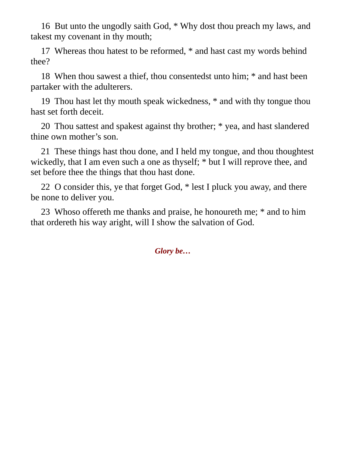16 But unto the ungodly saith God, \* Why dost thou preach my laws, and takest my covenant in thy mouth;

17 Whereas thou hatest to be reformed, \* and hast cast my words behind thee?

18 When thou sawest a thief, thou consentedst unto him; \* and hast been partaker with the adulterers.

19 Thou hast let thy mouth speak wickedness, \* and with thy tongue thou hast set forth deceit.

20 Thou sattest and spakest against thy brother; \* yea, and hast slandered thine own mother's son.

21 These things hast thou done, and I held my tongue, and thou thoughtest wickedly, that I am even such a one as thyself; \* but I will reprove thee, and set before thee the things that thou hast done.

22 O consider this, ye that forget God, \* lest I pluck you away, and there be none to deliver you.

23 Whoso offereth me thanks and praise, he honoureth me; \* and to him that ordereth his way aright, will I show the salvation of God.

*Glory be…*